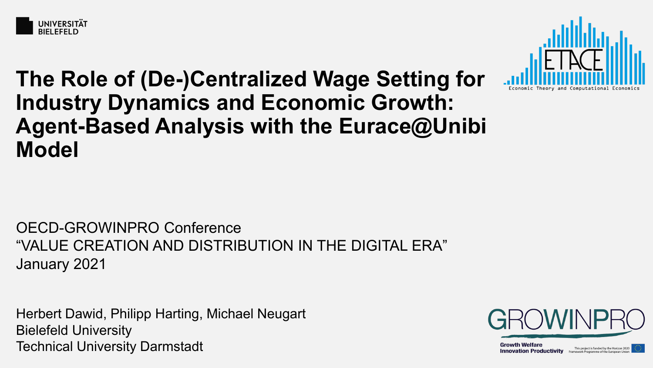



# **The Role of (De-)Centralized Wage Setting for Industry Dynamics and Economic Growth: Agent-Based Analysis with the Eurace@Unibi Model**

OECD-GROWINPRO Conference "VALUE CREATION AND DISTRIBUTION IN THE DIGITAL ERA" January 2021

Herbert Dawid, Philipp Harting, Michael Neugart Bielefeld University Technical University Darmstadt



**Growth Welfare** This project is funded by the Horizon 2020 **Innovation Productivity** Framework Programme of the European Unio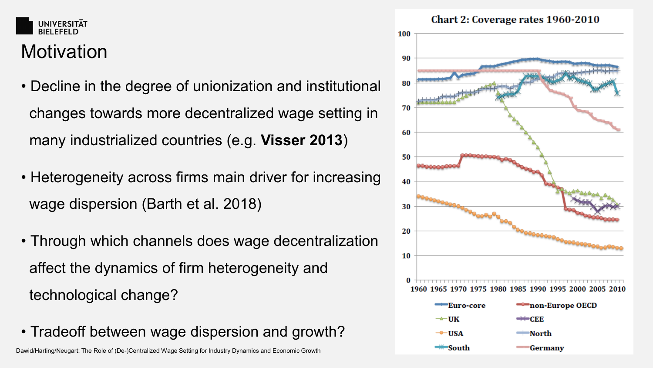#### **UNIVERSITÄT BIFLEFFLD**

# **Motivation**

- Decline in the degree of unionization and institutional changes towards more decentralized wage setting in many industrialized countries (e.g. **Visser 2013**)
- Heterogeneity across firms main driver for increasing wage dispersion (Barth et al. 2018)
- Through which channels does wage decentralization affect the dynamics of firm heterogeneity and technological change?
- Tradeoff between wage dispersion and growth?

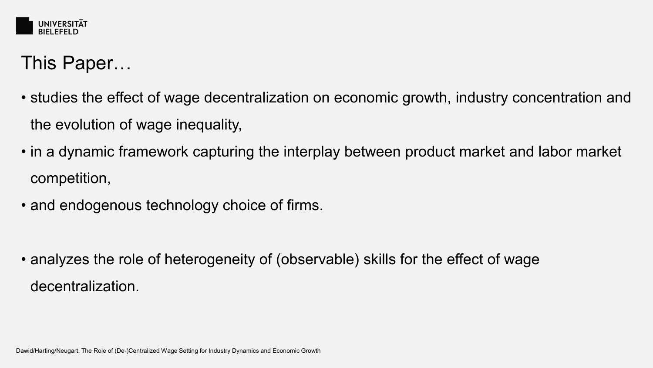

## This Paper…

- studies the effect of wage decentralization on economic growth, industry concentration and the evolution of wage inequality,
- in a dynamic framework capturing the interplay between product market and labor market competition,
- and endogenous technology choice of firms.

• analyzes the role of heterogeneity of (observable) skills for the effect of wage decentralization.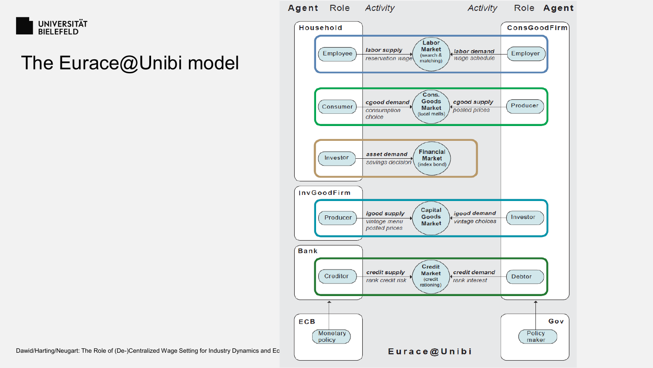

## The Eurace@Unibi model

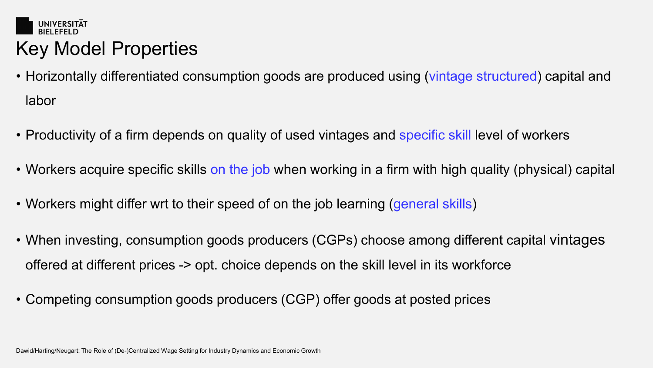

- Horizontally differentiated consumption goods are produced using (vintage structured) capital and labor
- Productivity of a firm depends on quality of used vintages and specific skill level of workers
- Workers acquire specific skills on the job when working in a firm with high quality (physical) capital
- Workers might differ wrt to their speed of on the job learning (general skills)
- When investing, consumption goods producers (CGPs) choose among different capital vintages offered at different prices -> opt. choice depends on the skill level in its workforce
- Competing consumption goods producers (CGP) offer goods at posted prices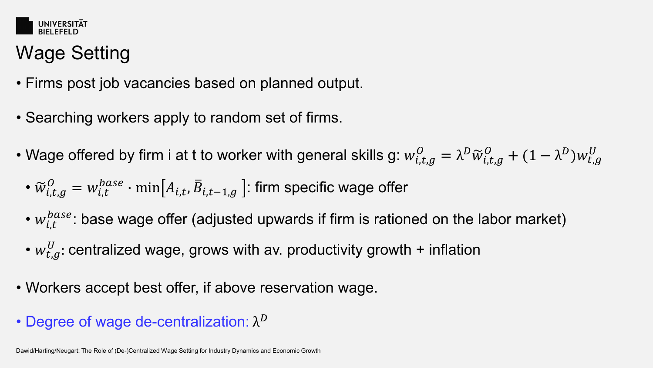

# Wage Setting

- Firms post job vacancies based on planned output.
- Searching workers apply to random set of firms.
- Wage offered by firm i at t to worker with general skills g:  $w_{i,t,g}^O = \lambda^D \widetilde{w}_{i,t,g}^O + (1-\lambda^D) w_{t,g}^U$ 
	- $\bullet$   $\widetilde{w}_{i,t,g}^{O} = w_{i,t}^{base} \cdot \min\bigl[A_{i,t},\bar{B}_{i,t-1,g}\bigr]$ : firm specific wage offer
	- $w_{i,t}^{\textit{base}}$ : base wage offer (adjusted upwards if firm is rationed on the labor market)
	- $w_{t,g}^{U}$ : centralized wage, grows with av. productivity growth + inflation
- Workers accept best offer, if above reservation wage.
- Degree of wage de-centralization:  $\lambda^D$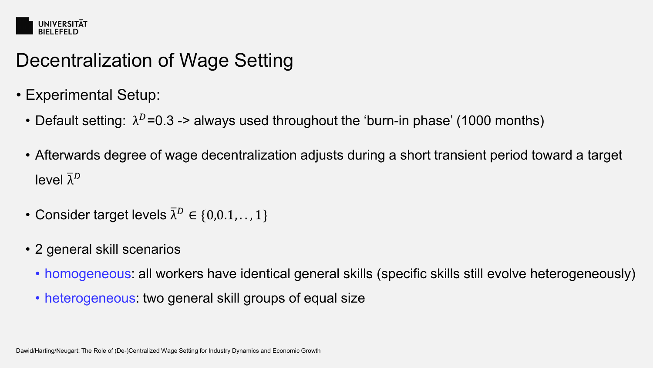

# Decentralization of Wage Setting

- Experimental Setup:
	- Default setting:  $\lambda^D$ =0.3 -> always used throughout the 'burn-in phase' (1000 months)
	- Afterwards degree of wage decentralization adjusts during a short transient period toward a target level  $\overline{\lambda}^D$
	- Consider target levels  $\overline{\lambda}^D \in \{0,0.1,\ldots,1\}$
	- 2 general skill scenarios
		- homogeneous: all workers have identical general skills (specific skills still evolve heterogeneously)
		- heterogeneous: two general skill groups of equal size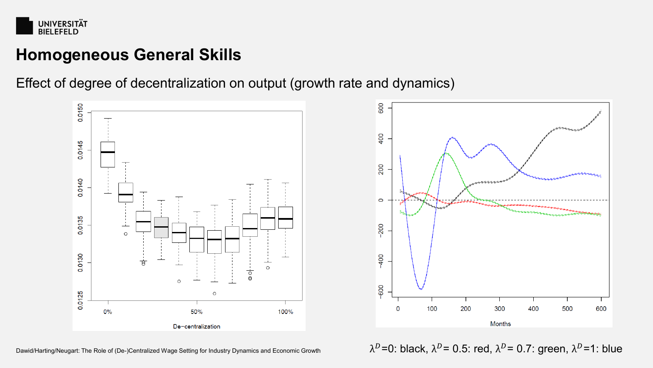

Effect of degree of decentralization on output (growth rate and dynamics)





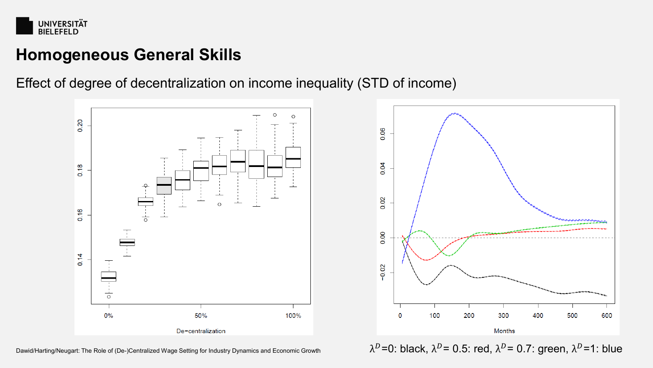

Effect of degree of decentralization on income inequality (STD of income)





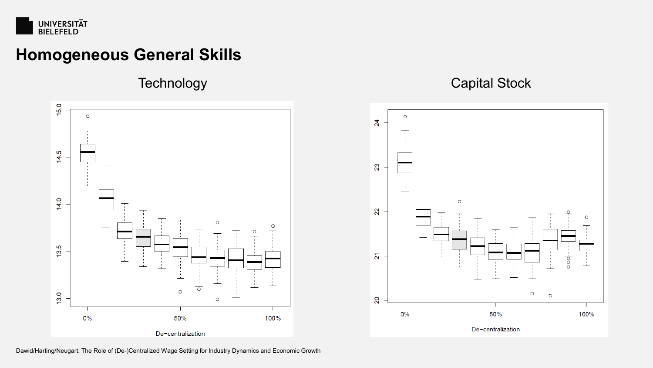



#### Technology **Capital Stock**

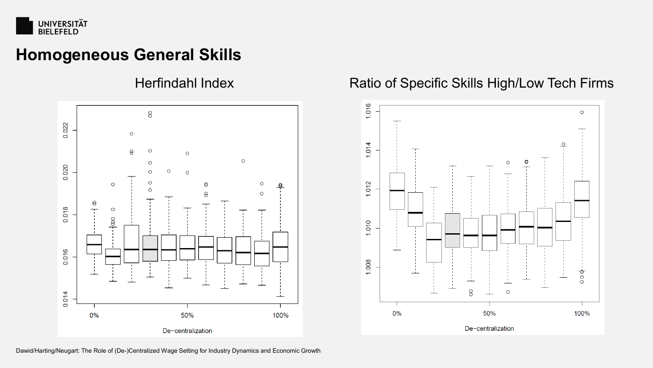



#### Herfindahl Index Ratio of Specific Skills High/Low Tech Firms

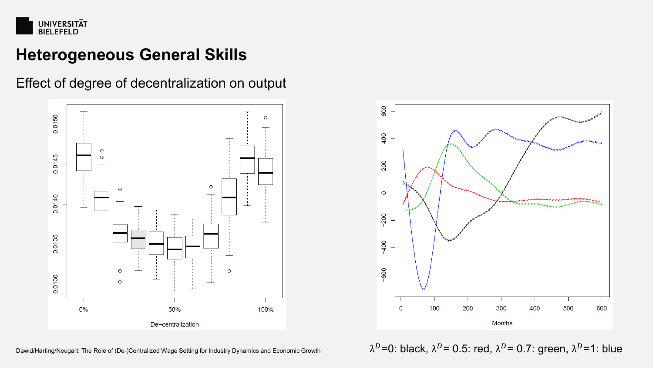

Effect of degree of decentralization on output



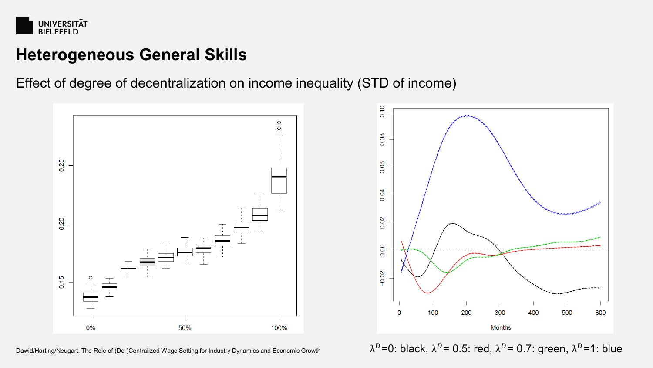

Effect of degree of decentralization on income inequality (STD of income)



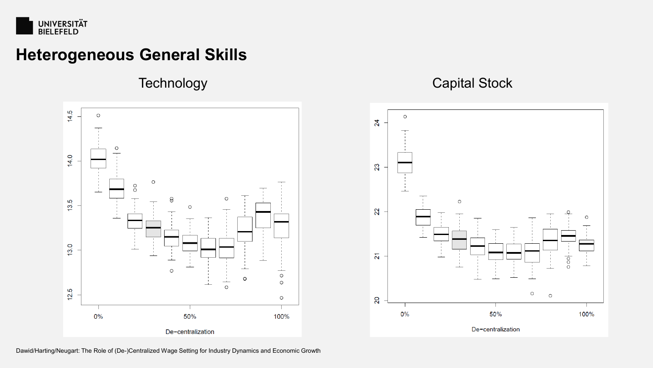



#### Technology **Capital Stock**

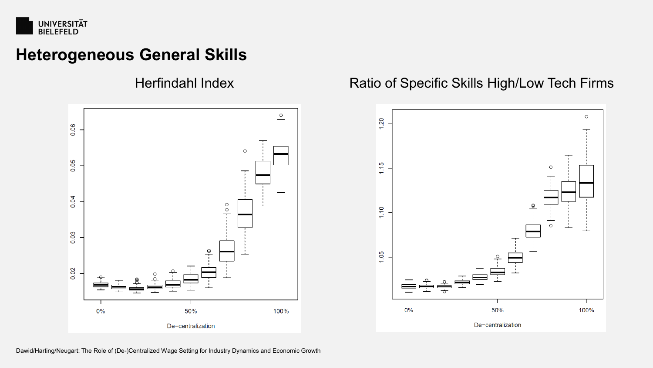



#### Herfindahl Index **Ratio of Specific Skills High/Low Tech Firms**

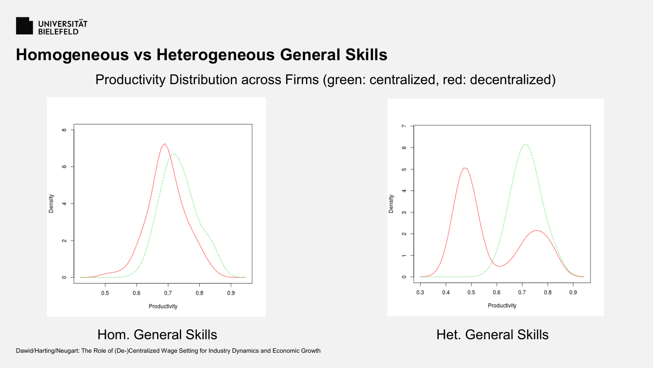

#### **Homogeneous vs Heterogeneous General Skills**

Productivity Distribution across Firms (green: centralized, red: decentralized)



Hom. General Skills **Het.** General Skills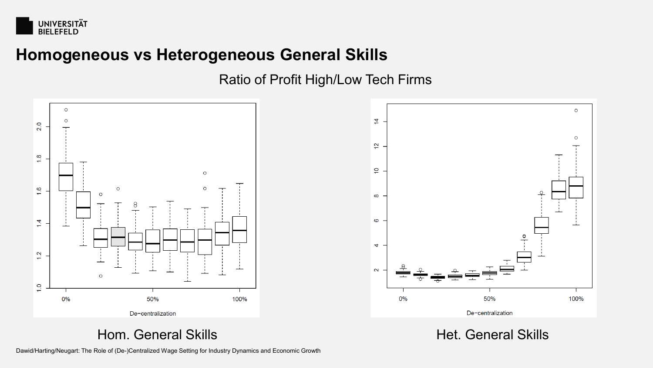

#### **Homogeneous vs Heterogeneous General Skills**

#### Ratio of Profit High/Low Tech Firms





Hom. General Skills **Het.** General Skills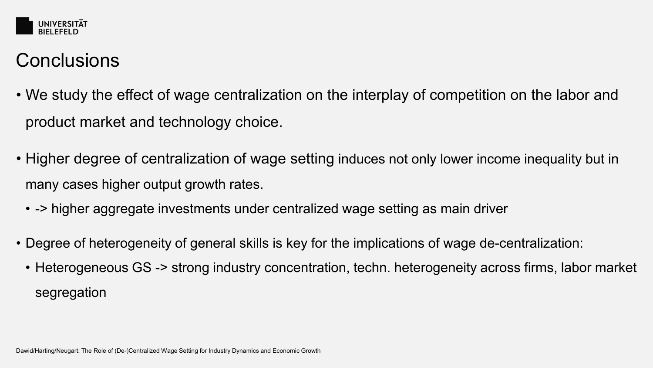

# **Conclusions**

- We study the effect of wage centralization on the interplay of competition on the labor and product market and technology choice.
- Higher degree of centralization of wage setting induces not only lower income inequality but in many cases higher output growth rates.
	- - > higher aggregate investments under centralized wage setting as main driver
- Degree of heterogeneity of general skills is key for the implications of wage de-centralization:
	- Heterogeneous GS -> strong industry concentration, techn. heterogeneity across firms, labor market segregation